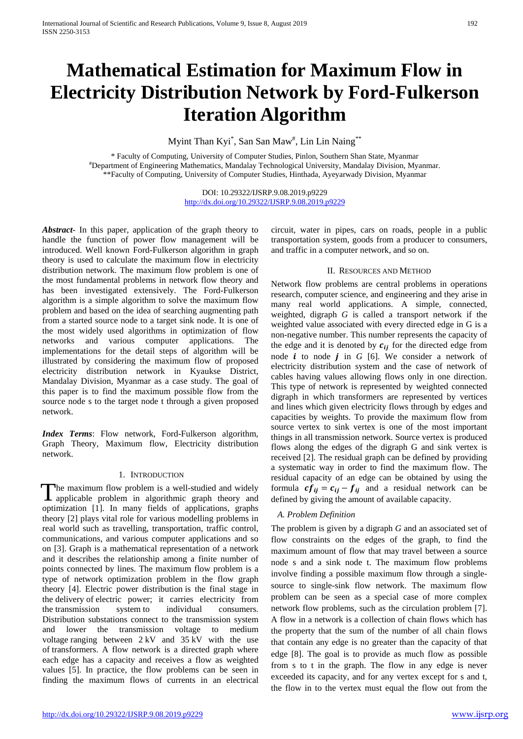# **Mathematical Estimation for Maximum Flow in Electricity Distribution Network by Ford-Fulkerson Iteration Algorithm**

Myint Than Kyi\*, San San Maw<sup>#</sup>, Lin Lin Naing\*\*

\* Faculty of Computing, University of Computer Studies, Pinlon, Southern Shan State, Myanmar #Department of Engineering Mathematics, Mandalay Technological University, Mandalay Division, Myanmar. \*\*Faculty of Computing, University of Computer Studies, Hinthada, Ayeyarwady Division, Myanmar

> DOI: 10.29322/IJSRP.9.08.2019.p9229 <http://dx.doi.org/10.29322/IJSRP.9.08.2019.p9229>

*Abstract-* In this paper, application of the graph theory to handle the function of power flow management will be introduced. Well known Ford-Fulkerson algorithm in graph theory is used to calculate the maximum flow in electricity distribution network. The maximum flow problem is one of the most fundamental problems in network flow theory and has been investigated extensively. The Ford-Fulkerson algorithm is a simple algorithm to solve the maximum flow problem and based on the idea of searching augmenting path from a started source node to a target sink node. It is one of the most widely used algorithms in optimization of flow networks and various computer applications. The implementations for the detail steps of algorithm will be illustrated by considering the maximum flow of proposed electricity distribution network in Kyaukse District, Mandalay Division, Myanmar as a case study. The goal of this paper is to find the maximum possible flow from the source node s to the target node t through a given proposed network.

*Index Terms*: Flow network, Ford-Fulkerson algorithm, Graph Theory, Maximum flow, Electricity distribution network.

# 1. INTRODUCTION

The maximum flow problem is a well-studied and widely applicable problem in algorithmic graph theory and The maximum flow problem is a well-studied and widely applicable problem in algorithmic graph theory and optimization [1]. In many fields of applications, graphs theory [2] plays vital role for various modelling problems in real world such as travelling, transportation, traffic control, communications, and various computer applications and so on [3]. Graph is a mathematical representation of a network and it describes the relationship among a finite number of points connected by lines. The maximum flow problem is a type of network optimization problem in the flow graph theory [4]. Electric power distribution is the final stage in the [delivery](https://en.wikipedia.org/wiki/Power_delivery) of [electric power;](https://en.wikipedia.org/wiki/Electric_power) it carries electricity from the [transmission system](https://en.wikipedia.org/wiki/Electric_power_transmission) to individual consumers. Distribution substations connect to the transmission system and lower the transmission voltage to medium [voltage](https://en.wikipedia.org/wiki/Voltage) ranging between 2 [kV](https://en.wikipedia.org/wiki/Kilovolt) and 35 kV with the use of [transformers.](https://en.wikipedia.org/wiki/Transformer) A flow network is a directed graph where each edge has a capacity and receives a flow as weighted values [5]. In practice, the flow problems can be seen in finding the maximum flows of currents in an electrical

circuit, water in pipes, cars on roads, people in a public transportation system, goods from a producer to consumers, and traffic in a computer network, and so on.

## II. RESOURCES AND METHOD

Network flow problems are central problems in operations research, computer science, and engineering and they arise in many real world applications. A simple, connected, weighted, digraph *G* is called a transport network if the weighted value associated with every directed edge in G is a non-negative number. This number represents the capacity of the edge and it is denoted by  $c_{ij}$  for the directed edge from node  $i$  to node  $j$  in  $G$  [6]. We consider a network of electricity distribution system and the case of network of cables having values allowing flows only in one direction. This type of network is represented by weighted connected digraph in which transformers are represented by vertices and lines which given electricity flows through by edges and capacities by weights. To provide the maximum flow from source vertex to sink vertex is one of the most important things in all transmission network. Source vertex is produced flows along the edges of the digraph G and sink vertex is received [2]. The residual graph can be defined by providing a systematic way in order to find the maximum flow. The residual capacity of an edge can be obtained by using the formula  $cf_{ij} = c_{ij} - f_{ij}$  and a residual network can be defined by giving the amount of available capacity.

# *A. Problem Definition*

The problem is given by a digraph *G* and an associated set of flow constraints on the edges of the graph, to find the maximum amount of flow that may travel between a source node s and a sink node t. The maximum flow problems involve finding a possible maximum flow through a singlesource to single-sink flow network. The maximum flow problem can be seen as a special case of more complex network flow problems, such as the circulation problem [7]. A flow in a network is a collection of chain flows which has the property that the sum of the number of all chain flows that contain any edge is no greater than the capacity of that edge [8]. The goal is to provide as much flow as possible from s to t in the graph. The flow in any edge is never exceeded its capacity, and for any vertex except for s and t, the flow in to the vertex must equal the flow out from the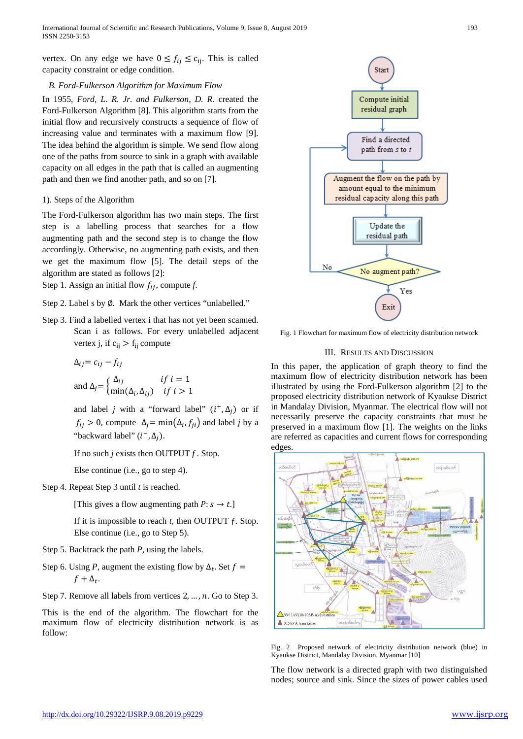vertex. On any edge we have  $0 \le f_{ij} \le c_{ij}$ . This is called capacity constraint or edge condition.

## *B. Ford-Fulkerson Algorithm for Maximum Flow*

In 1955, *Ford, L. R. Jr. and Fulkerson, D. R.* created the Ford-Fulkerson Algorithm [8]. This algorithm starts from the initial flow and recursively constructs a sequence of flow of increasing value and terminates with a maximum flow [9]. The idea behind the algorithm is simple. We send flow along one of the paths from source to sink in a graph with available capacity on all edges in the path that is called an augmenting path and then we find another path, and so on [7].

# 1). Steps of the Algorithm

The Ford-Fulkerson algorithm has two main steps. The first step is a labelling process that searches for a flow augmenting path and the second step is to change the flow accordingly. Otherwise, no augmenting path exists, and then we get the maximum flow [5]. The detail steps of the algorithm are stated as follows [2]:

Step 1. Assign an initial flow  $f_{ii}$ , compute  $f$ .

Step 2. Label s by Ø. Mark the other vertices "unlabelled."

Step 3. Find a labelled vertex i that has not yet been scanned. Scan i as follows. For every unlabelled adjacent vertex j, if  $c_{ii} > f_{ii}$  compute

$$
\Delta_{ij} = c_{ij} - f_{ij}
$$
  
and 
$$
\Delta_j = \begin{cases} \Delta_{ij} & \text{if } i = 1 \\ \min(\Delta_i, \Delta_{ij}) & \text{if } i > 1 \end{cases}
$$

and label *j* with a "forward label"  $(i^+, \Delta_i)$  or if  $f_{ij} > 0$ , compute  $\Delta_i = \min(\Delta_i, f_{ji})$  and label *j* by a "backward label"  $(i^-, \Delta_i)$ .

If no such *j* exists then OUTPUT *f* . Stop.

Else continue (i.e., go to step 4).

Step 4. Repeat Step 3 until *t* is reached.

[This gives a flow augmenting path  $P: s \rightarrow t$ .]

If it is impossible to reach *t,* then OUTPUT ƒ. Stop. Else continue (i.e., go to Step 5).

- Step 5. Backtrack the path *P,* using the labels.
- Step 6. Using *P*, augment the existing flow by  $\Delta_t$ . Set  $f =$  $f + \Delta_t$ .
- Step 7. Remove all labels from vertices  $2, \ldots, n$ . Go to Step 3.

This is the end of the algorithm. The flowchart for the maximum flow of electricity distribution network is as follow:



Fig. 1 Flowchart for maximum flow of electricity distribution network

## III. RESULTS AND DISCUSSION

In this paper, the application of graph theory to find the maximum flow of electricity distribution network has been illustrated by using the Ford-Fulkerson algorithm [2] to the proposed electricity distribution network of Kyaukse District in Mandalay Division, Myanmar. The electrical flow will not necessarily preserve the capacity constraints that must be preserved in a maximum flow [1]. The weights on the links are referred as capacities and current flows for corresponding edges.



Fig. 2 Proposed network of electricity distribution network (blue) in Kyaukse District, Mandalay Division, Myanmar [10]

The flow network is a directed graph with two distinguished nodes; source and sink. Since the sizes of power cables used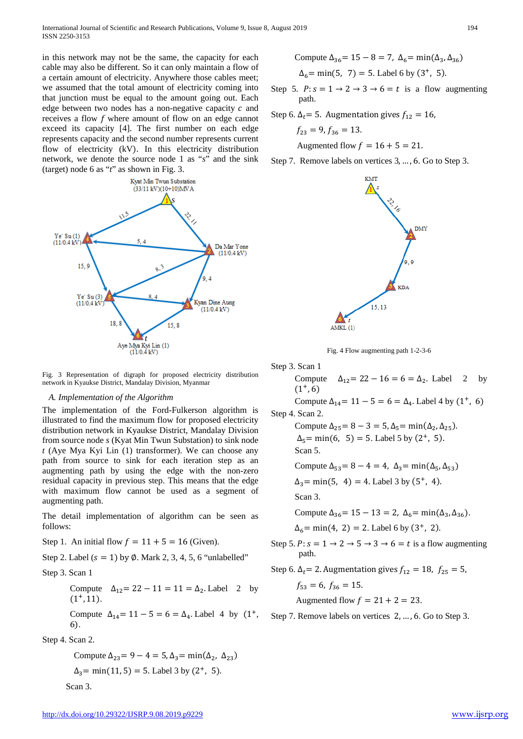International Journal of Scientific and Research Publications, Volume 9, Issue 8, August 2019 ISSN 2250-3153

in this network may not be the same, the capacity for each cable may also be different. So it can only maintain a flow of a certain amount of electricity. Anywhere those cables meet; we assumed that the total amount of electricity coming into that junction must be equal to the amount going out. Each edge between two nodes has a non-negative capacity  $c$  and receives a flow  $f$  where amount of flow on an edge cannot exceed its capacity [4]. The first number on each edge represents capacity and the second number represents current flow of electricity (kV). In this electricity distribution network, we denote the source node 1 as "*s*" and the sink (target) node 6 as "*t*" as shown in Fig. 3.



Fig. 3 Representation of digraph for proposed electricity distribution network in Kyaukse District, Mandalay Division, Myanmar

## *A. Implementation of the Algorithm*

The implementation of the Ford-Fulkerson algorithm is illustrated to find the maximum flow for proposed electricity distribution network in Kyaukse District, Mandalay Division from source node *s* (Kyat Min Twun Substation) to sink node *t* (Aye Mya Kyi Lin (1) transformer). We can choose any path from source to sink for each iteration step as an augmenting path by using the edge with the non-zero residual capacity in previous step. This means that the edge with maximum flow cannot be used as a segment of augmenting path.

The detail implementation of algorithm can be seen as follows:

Step 1. An initial flow  $f = 11 + 5 = 16$  (Given).

Step 2. Label  $(s = 1)$  by  $\emptyset$ . Mark 2, 3, 4, 5, 6 "unlabelled"

Step 3. Scan 1

Compute  $\Delta_{12} = 22 - 11 = 11 = \Delta_2$ . Label 2 by  $(1^+, 11)$ .

Compute 
$$
\Delta_{14} = 11 - 5 = 6 = \Delta_4
$$
. Label 4 by (1<sup>+</sup>, 6).

Step 4. Scan 2.

Compute  $\Delta_{23} = 9 - 4 = 5$ ,  $\Delta_{3} = \min(\Delta_2, \Delta_{23})$  $\Delta_3$  = min(11, 5) = 5. Label 3 by (2<sup>+</sup>, 5). Scan 3.

Compute 
$$
\Delta_{36} = 15 - 8 = 7
$$
,  $\Delta_6 = \min(\Delta_3, \Delta_{36})$   
 $\Delta_6 = \min(5, 7) = 5$ . Label 6 by (3<sup>+</sup>, 5).

Step 5.  $P: s = 1 \rightarrow 2 \rightarrow 3 \rightarrow 6 = t$  is a flow augmenting path.

Step 6.  $\Delta_t$  = 5. Augmentation gives  $f_{12} = 16$ ,

$$
f_{23}=9, f_{36}=13.
$$

Augmented flow  $f = 16 + 5 = 21$ .

Step 7. Remove labels on vertices 3, … , 6. Go to Step 3.



Fig. 4 Flow augmenting path 1-2-3-6

Step 3. Scan 1

Compute  $\Delta_{12} = 22 - 16 = 6 = \Delta_2$ . Label 2 by  $(1^+, 6)$ Compute  $\Delta_{14}$  = 11 – 5 = 6 =  $\Delta_4$ . Label 4 by (1<sup>+</sup>, 6) Step 4. Scan 2. Compute  $\Delta_{25} = 8 - 3 = 5$ ,  $\Delta_{5} = \min(\Delta_{2}, \Delta_{25})$ .  $\Delta_5 = \min(6, 5) = 5$ . Label 5 by  $(2^+, 5)$ .

Scan 5.

Compute 
$$
\Delta_{53} = 8 - 4 = 4
$$
,  $\Delta_3 = \min(\Delta_5, \Delta_{53})$ 

$$
\Delta_3
$$
 = min(5, 4) = 4. Label 3 by (5<sup>+</sup>, 4).

Scan 3.

Compute  $\Delta_{36}$  = 15 − 13 = 2,  $\Delta_6$  = min( $\Delta_3$ ,  $\Delta_{36}$ ).

$$
\Delta_6 = \min(4, 2) = 2.
$$
 Label 6 by (3<sup>+</sup>, 2).

Step 5.  $P: s = 1 \rightarrow 2 \rightarrow 5 \rightarrow 3 \rightarrow 6 = t$  is a flow augmenting path.

Step 6.  $\Delta_t$  = 2. Augmentation gives  $f_{12} = 18$ ,  $f_{25} = 5$ ,

$$
f_{53}=6, f_{36}=15.
$$

Augmented flow  $f = 21 + 2 = 23$ .

Step 7. Remove labels on vertices 2, … , 6. Go to Step 3.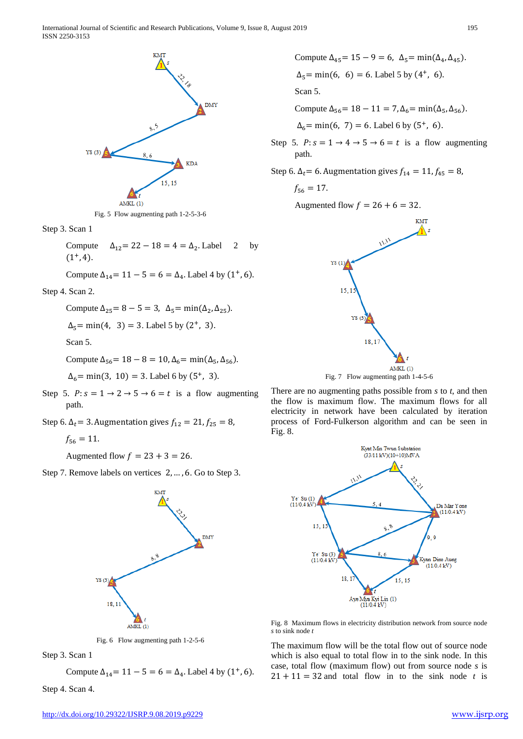



Step 3. Scan 1

Compute  $\Delta_{12} = 22 - 18 = 4 = \Delta_2$ . Label 2 by  $(1^+, 4)$ .

Compute 
$$
\Delta_{14} = 11 - 5 = 6 = \Delta_4
$$
. Label 4 by (1<sup>+</sup>, 6).

Step 4. Scan 2.

Compute  $\Delta_{25} = 8 - 5 = 3$ ,  $\Delta_5 = \min(\Delta_2, \Delta_{25})$ .

$$
\Delta_5
$$
= min(4, 3) = 3. Label 5 by (2<sup>+</sup>, 3).

Scan 5.

Compute  $\Delta_{56}$  = 18 − 8 = 10,  $\Delta_6$  = min( $\Delta_5$ ,  $\Delta_{56}$ ).

 $\Delta_6$  = min(3, 10) = 3. Label 6 by (5<sup>+</sup>, 3).

- Step 5.  $P: s = 1 \rightarrow 2 \rightarrow 5 \rightarrow 6 = t$  is a flow augmenting path.
- Step 6.  $\Delta_t$  = 3. Augmentation gives  $f_{12} = 21, f_{25} = 8$ ,

$$
f_{56}=11.
$$

Augmented flow  $f = 23 + 3 = 26$ .

Step 7. Remove labels on vertices 2, … , 6. Go to Step 3.



Fig. 6 Flow augmenting path 1-2-5-6

Step 3. Scan 1

Compute  $\Delta_{14}$  = 11 – 5 = 6 =  $\Delta_{4}$ . Label 4 by (1<sup>+</sup>, 6).

Step 4. Scan 4.

Compute 
$$
\Delta_{45} = 15 - 9 = 6
$$
,  $\Delta_{5} = \min(\Delta_{4}, \Delta_{45})$ .  
\n $\Delta_{5} = \min(6, 6) = 6$ . Label 5 by (4<sup>+</sup>, 6).  
\nScan 5.

Compute  $\Delta_{56}$  = 18 − 11 = 7,  $\Delta_6$  = min( $\Delta_5$ ,  $\Delta_{56}$ ).  $\Delta_6 = \min(6, 7) = 6$ . Label 6 by  $(5^+, 6)$ .

- Step 5.  $P: s = 1 \rightarrow 4 \rightarrow 5 \rightarrow 6 = t$  is a flow augmenting path.
- Step 6. Δ<sub>t</sub> = 6. Augmentation gives  $f_{14} = 11, f_{45} = 8$ ,

$$
f_{56}=17.
$$

Augmented flow  $f = 26 + 6 = 32$ .



Fig. 7 Flow augmenting path 1-4-5-6

There are no augmenting paths possible from *s* to *t*, and then the flow is maximum flow. The maximum flows for all electricity in network have been calculated by iteration process of Ford-Fulkerson algorithm and can be seen in Fig. 8.



Fig. 8 Maximum flows in electricity distribution network from source node *s* to sink node *t*

The maximum flow will be the total flow out of source node which is also equal to total flow in to the sink node. In this case, total flow (maximum flow) out from source node *s* is  $21 + 11 = 32$  and total flow in to the sink node *t* is